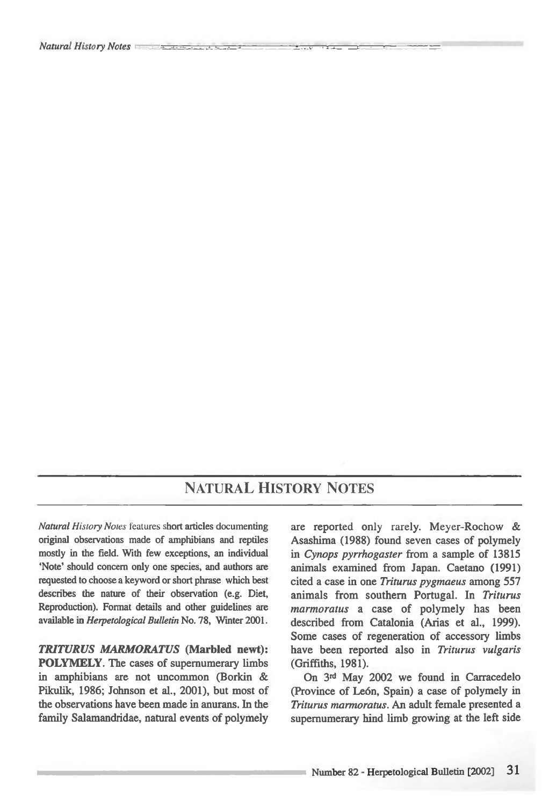## NATURAL HISTORY NOTES

*Natural History Notes* features short articles documenting original observations made of amphibians and reptiles mostly in the field. With few exceptions, an individual `Note' should concern only one species, and authors are requested to choose a keyword or short phrase which best describes the nature of their observation (e.g. Diet, Reproduction). Format details and other guidelines are available in *Herpetological Bulletin* No. 78, Winter 2001.

*TRITURUS MARMORATUS* **(Marbled newt): POLYMELY.** The cases of supernumerary limbs in amphibians are not uncommon (Borkin & Pikulik, 1986; Johnson et al., 2001), but most of the observations have been made in anurans. In the family Salamandridae, natural events of polymely are reported only rarely. Meyer-Rochow & Asashima (1988) found seven cases of polymely in *Cynops pyrrhogaster* from a sample of 13815 animals examined from Japan. Caetano (1991) cited a case in one *Triturus pygmaeus* among 557 animals from southern Portugal. In *Triturus marmoratus* a case of polymely has been described from Catalonia (Arias et al., 1999). Some cases of regeneration of accessory limbs have been reported also in *Triturus vulgaris*  (Griffiths, 1981).

On **3rd** May 2002 we found in Carracedelo (Province of Le6n, Spain) a case of polymely in *Triturus marmoratus.* An adult female presented a supernumerary hind limb growing at the left side